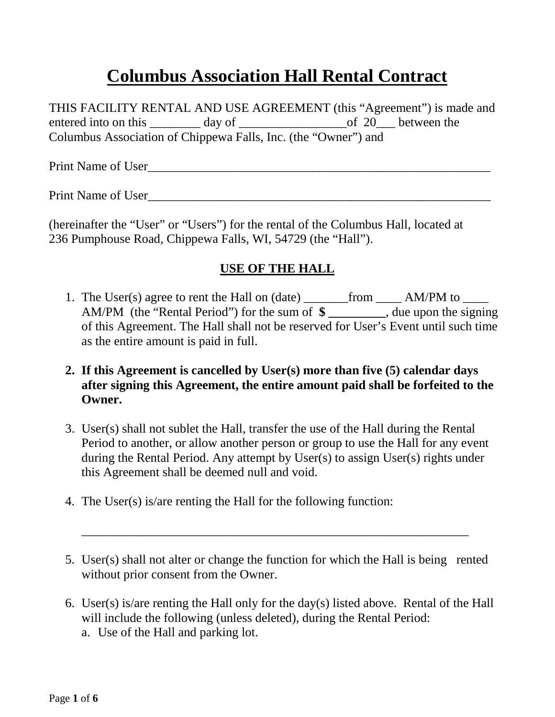# **Columbus Association Hall Rental Contract**

THIS FACILITY RENTAL AND USE AGREEMENT (this "Agreement") is made and entered into on this \_\_\_\_\_\_\_\_ day of \_\_\_\_\_\_\_\_\_\_\_\_\_\_\_\_\_\_\_\_\_\_\_\_\_of 20\_\_\_\_ between the Columbus Association of Chippewa Falls, Inc. (the "Owner") and

Print Name of User

Print Name of User

(hereinafter the "User" or "Users") for the rental of the Columbus Hall, located at 236 Pumphouse Road, Chippewa Falls, WI, 54729 (the "Hall").

#### **USE OF THE HALL**

- 1. The User(s) agree to rent the Hall on (date) \_\_\_\_\_\_\_from \_\_\_\_\_ AM/PM to \_\_\_\_\_ AM/PM (the "Rental Period") for the sum of **\$ \_\_\_\_\_\_\_\_\_**, due upon the signing of this Agreement. The Hall shall not be reserved for User's Event until such time as the entire amount is paid in full.
- **2. If this Agreement is cancelled by User(s) more than five (5) calendar days after signing this Agreement, the entire amount paid shall be forfeited to the Owner.**
- 3. User(s) shall not sublet the Hall, transfer the use of the Hall during the Rental Period to another, or allow another person or group to use the Hall for any event during the Rental Period. Any attempt by User(s) to assign User(s) rights under this Agreement shall be deemed null and void.
- 4. The User(s) is/are renting the Hall for the following function:
- 5. User(s) shall not alter or change the function for which the Hall is being rented without prior consent from the Owner.

\_\_\_\_\_\_\_\_\_\_\_\_\_\_\_\_\_\_\_\_\_\_\_\_\_\_\_\_\_\_\_\_\_\_\_\_\_\_\_\_\_\_\_\_\_\_\_\_\_\_\_\_\_\_\_\_\_\_\_\_\_

6. User(s) is/are renting the Hall only for the day(s) listed above. Rental of the Hall will include the following (unless deleted), during the Rental Period: a. Use of the Hall and parking lot.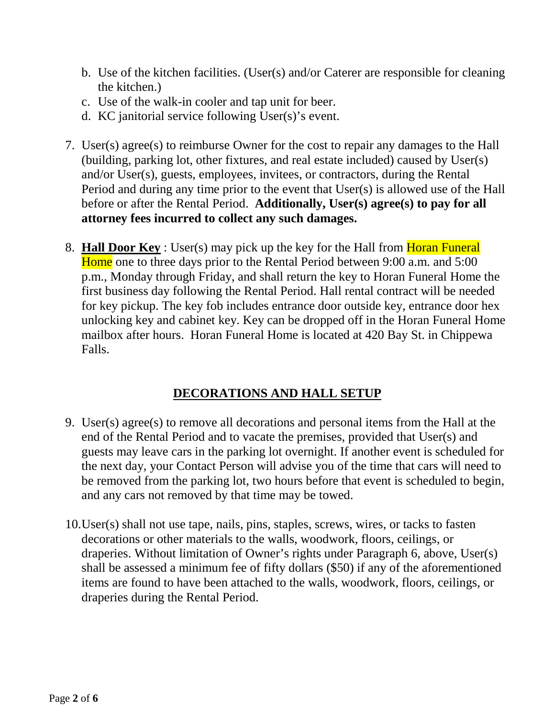- b. Use of the kitchen facilities. (User(s) and/or Caterer are responsible for cleaning the kitchen.)
- c. Use of the walk-in cooler and tap unit for beer.
- d. KC janitorial service following User(s)'s event.
- 7. User(s) agree(s) to reimburse Owner for the cost to repair any damages to the Hall (building, parking lot, other fixtures, and real estate included) caused by User(s) and/or User(s), guests, employees, invitees, or contractors, during the Rental Period and during any time prior to the event that User(s) is allowed use of the Hall before or after the Rental Period. **Additionally, User(s) agree(s) to pay for all attorney fees incurred to collect any such damages.**
- 8. **Hall Door Key** : User(s) may pick up the key for the Hall from Horan Funeral Home one to three days prior to the Rental Period between 9:00 a.m. and 5:00 p.m., Monday through Friday, and shall return the key to Horan Funeral Home the first business day following the Rental Period. Hall rental contract will be needed for key pickup. The key fob includes entrance door outside key, entrance door hex unlocking key and cabinet key. Key can be dropped off in the Horan Funeral Home mailbox after hours. Horan Funeral Home is located at 420 Bay St. in Chippewa Falls.

# **DECORATIONS AND HALL SETUP**

- 9. User(s) agree(s) to remove all decorations and personal items from the Hall at the end of the Rental Period and to vacate the premises, provided that User(s) and guests may leave cars in the parking lot overnight. If another event is scheduled for the next day, your Contact Person will advise you of the time that cars will need to be removed from the parking lot, two hours before that event is scheduled to begin, and any cars not removed by that time may be towed.
- 10.User(s) shall not use tape, nails, pins, staples, screws, wires, or tacks to fasten decorations or other materials to the walls, woodwork, floors, ceilings, or draperies. Without limitation of Owner's rights under Paragraph 6, above, User(s) shall be assessed a minimum fee of fifty dollars (\$50) if any of the aforementioned items are found to have been attached to the walls, woodwork, floors, ceilings, or draperies during the Rental Period.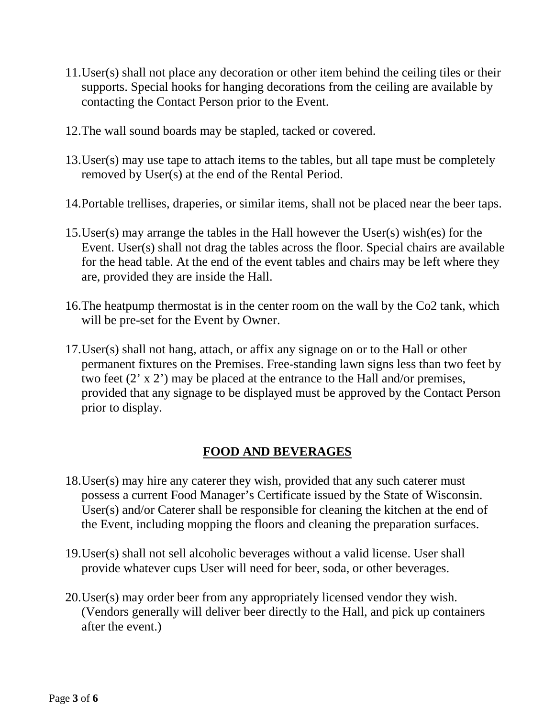- 11.User(s) shall not place any decoration or other item behind the ceiling tiles or their supports. Special hooks for hanging decorations from the ceiling are available by contacting the Contact Person prior to the Event.
- 12.The wall sound boards may be stapled, tacked or covered.
- 13.User(s) may use tape to attach items to the tables, but all tape must be completely removed by User(s) at the end of the Rental Period.
- 14.Portable trellises, draperies, or similar items, shall not be placed near the beer taps.
- 15.User(s) may arrange the tables in the Hall however the User(s) wish(es) for the Event. User(s) shall not drag the tables across the floor. Special chairs are available for the head table. At the end of the event tables and chairs may be left where they are, provided they are inside the Hall.
- 16.The heatpump thermostat is in the center room on the wall by the Co2 tank, which will be pre-set for the Event by Owner.
- 17.User(s) shall not hang, attach, or affix any signage on or to the Hall or other permanent fixtures on the Premises. Free-standing lawn signs less than two feet by two feet  $(2 \times 2)$  may be placed at the entrance to the Hall and/or premises, provided that any signage to be displayed must be approved by the Contact Person prior to display.

# **FOOD AND BEVERAGES**

- 18.User(s) may hire any caterer they wish, provided that any such caterer must possess a current Food Manager's Certificate issued by the State of Wisconsin. User(s) and/or Caterer shall be responsible for cleaning the kitchen at the end of the Event, including mopping the floors and cleaning the preparation surfaces.
- 19.User(s) shall not sell alcoholic beverages without a valid license. User shall provide whatever cups User will need for beer, soda, or other beverages.
- 20.User(s) may order beer from any appropriately licensed vendor they wish. (Vendors generally will deliver beer directly to the Hall, and pick up containers after the event.)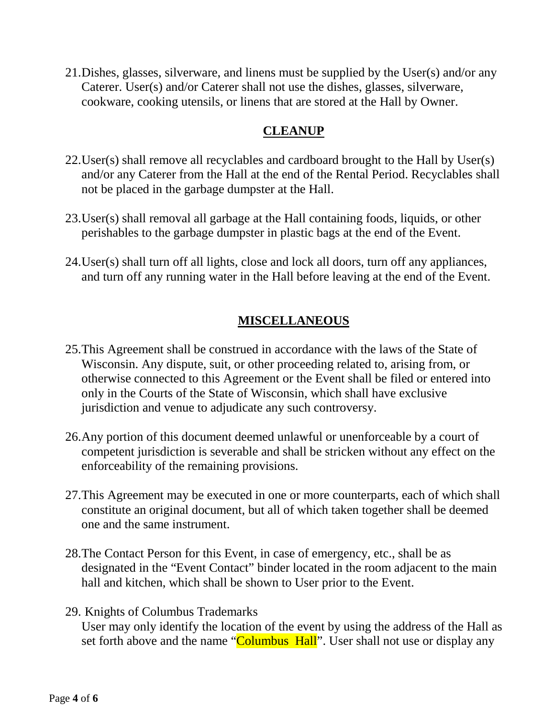21.Dishes, glasses, silverware, and linens must be supplied by the User(s) and/or any Caterer. User(s) and/or Caterer shall not use the dishes, glasses, silverware, cookware, cooking utensils, or linens that are stored at the Hall by Owner.

### **CLEANUP**

- 22.User(s) shall remove all recyclables and cardboard brought to the Hall by User(s) and/or any Caterer from the Hall at the end of the Rental Period. Recyclables shall not be placed in the garbage dumpster at the Hall.
- 23.User(s) shall removal all garbage at the Hall containing foods, liquids, or other perishables to the garbage dumpster in plastic bags at the end of the Event.
- 24.User(s) shall turn off all lights, close and lock all doors, turn off any appliances, and turn off any running water in the Hall before leaving at the end of the Event.

# **MISCELLANEOUS**

- 25.This Agreement shall be construed in accordance with the laws of the State of Wisconsin. Any dispute, suit, or other proceeding related to, arising from, or otherwise connected to this Agreement or the Event shall be filed or entered into only in the Courts of the State of Wisconsin, which shall have exclusive jurisdiction and venue to adjudicate any such controversy.
- 26.Any portion of this document deemed unlawful or unenforceable by a court of competent jurisdiction is severable and shall be stricken without any effect on the enforceability of the remaining provisions.
- 27.This Agreement may be executed in one or more counterparts, each of which shall constitute an original document, but all of which taken together shall be deemed one and the same instrument.
- 28.The Contact Person for this Event, in case of emergency, etc., shall be as designated in the "Event Contact" binder located in the room adjacent to the main hall and kitchen, which shall be shown to User prior to the Event.
- 29. Knights of Columbus Trademarks User may only identify the location of the event by using the address of the Hall as set forth above and the name "Columbus Hall". User shall not use or display any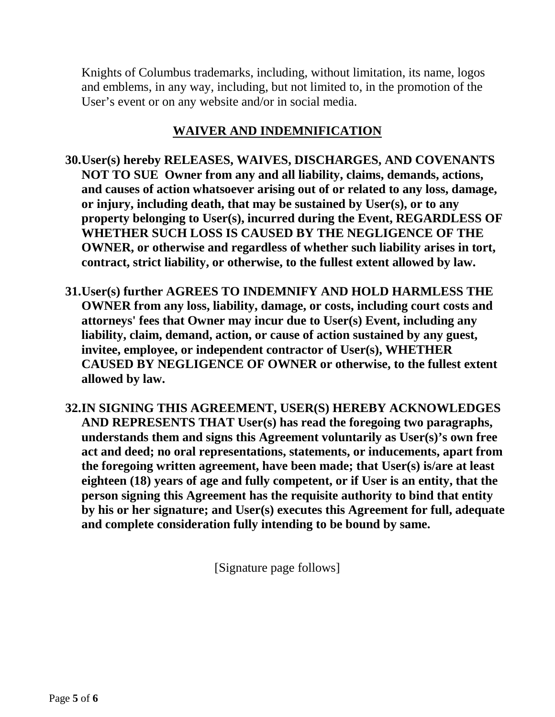Knights of Columbus trademarks, including, without limitation, its name, logos and emblems, in any way, including, but not limited to, in the promotion of the User's event or on any website and/or in social media.

#### **WAIVER AND INDEMNIFICATION**

- **30.User(s) hereby RELEASES, WAIVES, DISCHARGES, AND COVENANTS NOT TO SUE Owner from any and all liability, claims, demands, actions, and causes of action whatsoever arising out of or related to any loss, damage, or injury, including death, that may be sustained by User(s), or to any property belonging to User(s), incurred during the Event, REGARDLESS OF WHETHER SUCH LOSS IS CAUSED BY THE NEGLIGENCE OF THE OWNER, or otherwise and regardless of whether such liability arises in tort, contract, strict liability, or otherwise, to the fullest extent allowed by law.**
- **31.User(s) further AGREES TO INDEMNIFY AND HOLD HARMLESS THE OWNER from any loss, liability, damage, or costs, including court costs and attorneys' fees that Owner may incur due to User(s) Event, including any liability, claim, demand, action, or cause of action sustained by any guest, invitee, employee, or independent contractor of User(s), WHETHER CAUSED BY NEGLIGENCE OF OWNER or otherwise, to the fullest extent allowed by law.**
- **32.IN SIGNING THIS AGREEMENT, USER(S) HEREBY ACKNOWLEDGES AND REPRESENTS THAT User(s) has read the foregoing two paragraphs, understands them and signs this Agreement voluntarily as User(s)'s own free act and deed; no oral representations, statements, or inducements, apart from the foregoing written agreement, have been made; that User(s) is/are at least eighteen (18) years of age and fully competent, or if User is an entity, that the person signing this Agreement has the requisite authority to bind that entity by his or her signature; and User(s) executes this Agreement for full, adequate and complete consideration fully intending to be bound by same.**

[Signature page follows]